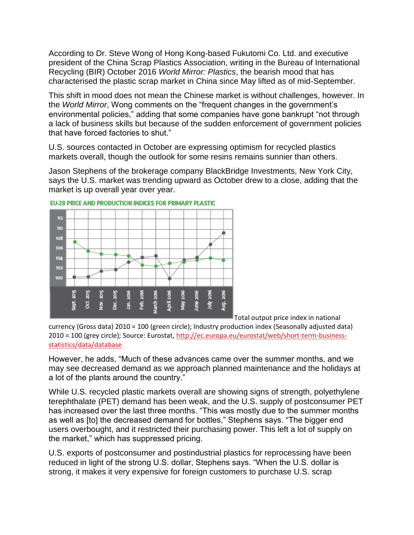According to Dr. Steve Wong of Hong Kong-based Fukutomi Co. Ltd. and executive president of the China Scrap Plastics Association, writing in the Bureau of International Recycling (BIR) October 2016 *World Mirror: Plastics*, the bearish mood that has characterised the plastic scrap market in China since May lifted as of mid-September.

This shift in mood does not mean the Chinese market is without challenges, however. In the *World Mirror*, Wong comments on the "frequent changes in the government's environmental policies," adding that some companies have gone bankrupt "not through a lack of business skills but because of the sudden enforcement of government policies that have forced factories to shut."

U.S. sources contacted in October are expressing optimism for recycled plastics markets overall, though the outlook for some resins remains sunnier than others.

Jason Stephens of the brokerage company BlackBridge Investments, New York City, says the U.S. market was trending upward as October drew to a close, adding that the market is up overall year over year.



**EU-28 PRICE AND PRODUCTION INDICES FOR PRIMARY PLASTIC** 

Total output price index in national

currency (Gross data) 2010 = 100 (green circle); Industry production index (Seasonally adjusted data) 2010 = 100 (grey circle); Source: Eurostat, [http://ec.europa.eu/eurostat/web/short-term-business](http://ec.europa.eu/eurostat/web/short-term-business-statistics/data/database)[statistics/data/database](http://ec.europa.eu/eurostat/web/short-term-business-statistics/data/database)

However, he adds, "Much of these advances came over the summer months, and we may see decreased demand as we approach planned maintenance and the holidays at a lot of the plants around the country."

While U.S. recycled plastic markets overall are showing signs of strength, polyethylene terephthalate (PET) demand has been weak, and the U.S. supply of postconsumer PET has increased over the last three months. "This was mostly due to the summer months as well as [to] the decreased demand for bottles," Stephens says. "The bigger end users overbought, and it restricted their purchasing power. This left a lot of supply on the market," which has suppressed pricing.

U.S. exports of postconsumer and postindustrial plastics for reprocessing have been reduced in light of the strong U.S. dollar, Stephens says. "When the U.S. dollar is strong, it makes it very expensive for foreign customers to purchase U.S. scrap